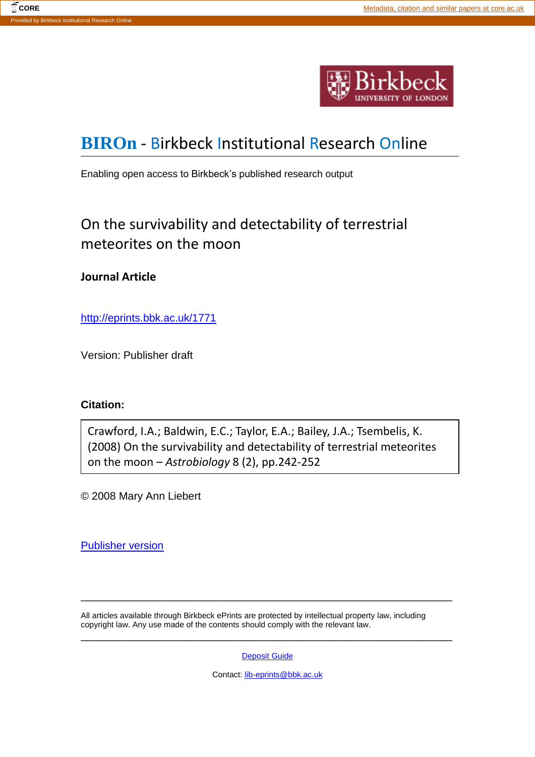

# **[BIROn](http://eprints.bbk.ac.uk/irstats.cgi)** - Birkbeck Institutional Research Online

Enabling open access to Birkbeck's published research output

# On the survivability and detectability of terrestrial meteorites on the moon

### **Journal Article**

<http://eprints.bbk.ac.uk/1771>

Version: Publisher draft

### **Citation:**

Crawford, I.A.; Baldwin, E.C.; Taylor, E.A.; Bailey, J.A.; Tsembelis, K. (2008) On the survivability and detectability of terrestrial meteorites on the moon – *Astrobiology* 8 (2), pp.242-252

© 2008 Mary Ann Liebert

[Publisher version](http://dx.doi.org/10.1089/ast.2007.0215)

All articles available through Birkbeck ePrints are protected by intellectual property law, including copyright law. Any use made of the contents should comply with the relevant law.

[Deposit Guide](http://eprints.bbk.ac.uk/deposit_guide.html)

\_\_\_\_\_\_\_\_\_\_\_\_\_\_\_\_\_\_\_\_\_\_\_\_\_\_\_\_\_\_\_\_\_\_\_\_\_\_\_\_\_\_\_\_\_\_\_\_\_\_\_\_\_\_\_\_\_\_\_\_\_\_

\_\_\_\_\_\_\_\_\_\_\_\_\_\_\_\_\_\_\_\_\_\_\_\_\_\_\_\_\_\_\_\_\_\_\_\_\_\_\_\_\_\_\_\_\_\_\_\_\_\_\_\_\_\_\_\_\_\_\_\_\_\_

Contact: [lib-eprints@bbk.ac.uk](mailto:lib-eprints@bbk.ac.uk)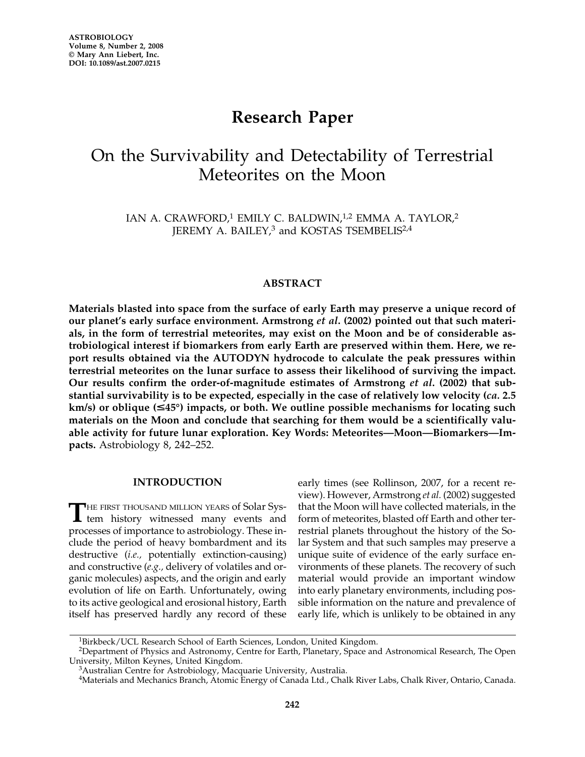## **Research Paper**

## On the Survivability and Detectability of Terrestrial Meteorites on the Moon

IAN A. CRAWFORD,<sup>1</sup> EMILY C. BALDWIN,<sup>1,2</sup> EMMA A. TAYLOR,<sup>2</sup> JEREMY A. BAILEY,<sup>3</sup> and KOSTAS TSEMBELIS<sup>2,4</sup>

#### **ABSTRACT**

**Materials blasted into space from the surface of early Earth may preserve a unique record of our planet's early surface environment. Armstrong** *et al***. (2002) pointed out that such materials, in the form of terrestrial meteorites, may exist on the Moon and be of considerable astrobiological interest if biomarkers from early Earth are preserved within them. Here, we report results obtained via the AUTODYN hydrocode to calculate the peak pressures within terrestrial meteorites on the lunar surface to assess their likelihood of surviving the impact. Our results confirm the order-of-magnitude estimates of Armstrong** *et al***. (2002) that substantial survivability is to be expected, especially in the case of relatively low velocity (***ca.* **2.5 km/s) or oblique (-45°) impacts, or both. We outline possible mechanisms for locating such materials on the Moon and conclude that searching for them would be a scientifically valuable activity for future lunar exploration. Key Words: Meteorites—Moon—Biomarkers—Impacts.** Astrobiology 8, 242–252.

#### **INTRODUCTION**

THE FIRST THOUSAND MILLION YEARS of Solar System history witnessed many events and processes of importance to astrobiology. These include the period of heavy bombardment and its destructive (*i.e.,* potentially extinction-causing) and constructive (*e.g.,* delivery of volatiles and organic molecules) aspects, and the origin and early evolution of life on Earth. Unfortunately, owing to its active geological and erosional history, Earth itself has preserved hardly any record of these

early times (see Rollinson, 2007, for a recent review). However, Armstrong *et al.* (2002) suggested that the Moon will have collected materials, in the form of meteorites, blasted off Earth and other terrestrial planets throughout the history of the Solar System and that such samples may preserve a unique suite of evidence of the early surface environments of these planets. The recovery of such material would provide an important window into early planetary environments, including possible information on the nature and prevalence of early life, which is unlikely to be obtained in any

<sup>&</sup>lt;sup>1</sup>Birkbeck/UCL Research School of Earth Sciences, London, United Kingdom.

<sup>&</sup>lt;sup>2</sup>Department of Physics and Astronomy, Centre for Earth, Planetary, Space and Astronomical Research, The Open University, Milton Keynes, United Kingdom.

<sup>&</sup>lt;sup>3</sup>Australian Centre for Astrobiology, Macquarie University, Australia.

<sup>4</sup>Materials and Mechanics Branch, Atomic Energy of Canada Ltd., Chalk River Labs, Chalk River, Ontario, Canada.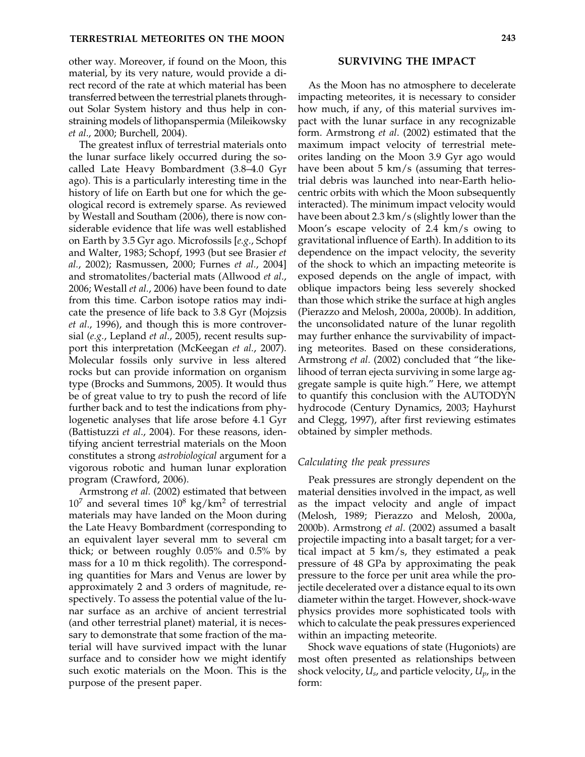other way. Moreover, if found on the Moon, this material, by its very nature, would provide a direct record of the rate at which material has been transferred between the terrestrial planets throughout Solar System history and thus help in constraining models of lithopanspermia (Mileikowsky *et al*., 2000; Burchell, 2004).

The greatest influx of terrestrial materials onto the lunar surface likely occurred during the socalled Late Heavy Bombardment (3.8–4.0 Gyr ago). This is a particularly interesting time in the history of life on Earth but one for which the geological record is extremely sparse. As reviewed by Westall and Southam (2006), there is now considerable evidence that life was well established on Earth by 3.5 Gyr ago. Microfossils [*e.g.*, Schopf and Walter, 1983; Schopf, 1993 (but see Brasier *et al.*, 2002); Rasmussen, 2000; Furnes *et al.*, 2004] and stromatolites/bacterial mats (Allwood *et al*., 2006; Westall *et al.*, 2006) have been found to date from this time. Carbon isotope ratios may indicate the presence of life back to 3.8 Gyr (Mojzsis *et al*., 1996), and though this is more controversial (*e.g.*, Lepland *et al*., 2005), recent results support this interpretation (McKeegan *et al.*, 2007). Molecular fossils only survive in less altered rocks but can provide information on organism type (Brocks and Summons, 2005). It would thus be of great value to try to push the record of life further back and to test the indications from phylogenetic analyses that life arose before 4.1 Gyr (Battistuzzi *et al*., 2004). For these reasons, identifying ancient terrestrial materials on the Moon constitutes a strong *astrobiological* argument for a vigorous robotic and human lunar exploration program (Crawford, 2006).

Armstrong *et al.* (2002) estimated that between  $10<sup>7</sup>$  and several times  $10<sup>8</sup>$  kg/km<sup>2</sup> of terrestrial materials may have landed on the Moon during the Late Heavy Bombardment (corresponding to an equivalent layer several mm to several cm thick; or between roughly 0.05% and 0.5% by mass for a 10 m thick regolith). The corresponding quantities for Mars and Venus are lower by approximately 2 and 3 orders of magnitude, respectively. To assess the potential value of the lunar surface as an archive of ancient terrestrial (and other terrestrial planet) material, it is necessary to demonstrate that some fraction of the material will have survived impact with the lunar surface and to consider how we might identify such exotic materials on the Moon. This is the purpose of the present paper.

#### **SURVIVING THE IMPACT**

As the Moon has no atmosphere to decelerate impacting meteorites, it is necessary to consider how much, if any, of this material survives impact with the lunar surface in any recognizable form. Armstrong *et al*. (2002) estimated that the maximum impact velocity of terrestrial meteorites landing on the Moon 3.9 Gyr ago would have been about 5 km/s (assuming that terrestrial debris was launched into near-Earth heliocentric orbits with which the Moon subsequently interacted). The minimum impact velocity would have been about 2.3 km/s (slightly lower than the Moon's escape velocity of 2.4 km/s owing to gravitational influence of Earth). In addition to its dependence on the impact velocity, the severity of the shock to which an impacting meteorite is exposed depends on the angle of impact, with oblique impactors being less severely shocked than those which strike the surface at high angles (Pierazzo and Melosh, 2000a, 2000b). In addition, the unconsolidated nature of the lunar regolith may further enhance the survivability of impacting meteorites. Based on these considerations, Armstrong *et al.* (2002) concluded that "the likelihood of terran ejecta surviving in some large aggregate sample is quite high." Here, we attempt to quantify this conclusion with the AUTODYN hydrocode (Century Dynamics, 2003; Hayhurst and Clegg, 1997), after first reviewing estimates obtained by simpler methods.

#### *Calculating the peak pressures*

Peak pressures are strongly dependent on the material densities involved in the impact, as well as the impact velocity and angle of impact (Melosh, 1989; Pierazzo and Melosh, 2000a, 2000b). Armstrong *et al*. (2002) assumed a basalt projectile impacting into a basalt target; for a vertical impact at 5 km/s, they estimated a peak pressure of 48 GPa by approximating the peak pressure to the force per unit area while the projectile decelerated over a distance equal to its own diameter within the target. However, shock-wave physics provides more sophisticated tools with which to calculate the peak pressures experienced within an impacting meteorite.

Shock wave equations of state (Hugoniots) are most often presented as relationships between shock velocity, *Us*, and particle velocity, *Up*, in the form: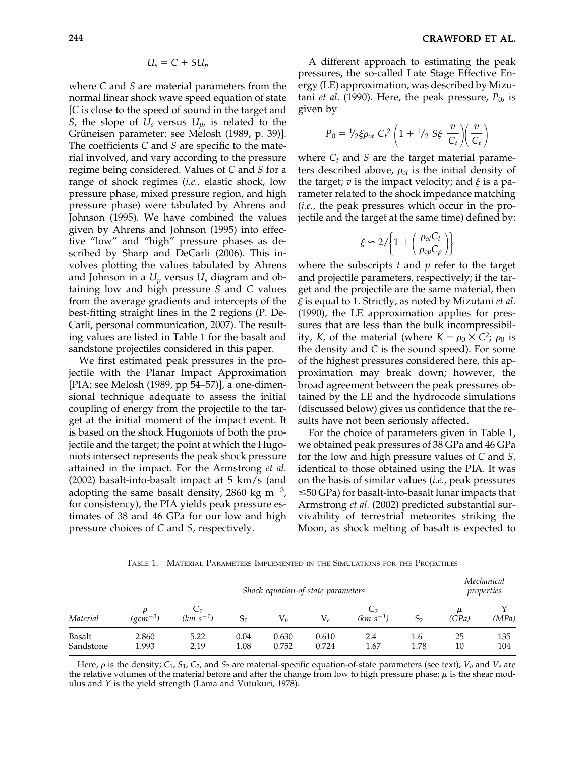$$
U_s = C + SU_p
$$

where *C* and *S* are material parameters from the normal linear shock wave speed equation of state [*C* is close to the speed of sound in the target and *S*, the slope of *Us* versus *Up,* is related to the Grüneisen parameter; see Melosh (1989, p. 39)]. The coefficients *C* and *S* are specific to the material involved, and vary according to the pressure regime being considered. Values of *C* and *S* for a range of shock regimes (*i.e.,* elastic shock, low pressure phase, mixed pressure region, and high pressure phase) were tabulated by Ahrens and Johnson (1995). We have combined the values given by Ahrens and Johnson (1995) into effective "low" and "high" pressure phases as described by Sharp and DeCarli (2006). This involves plotting the values tabulated by Ahrens and Johnson in a *Up* versus *Us* diagram and obtaining low and high pressure *S* and *C* values from the average gradients and intercepts of the best-fitting straight lines in the 2 regions (P. De-Carli, personal communication, 2007). The resulting values are listed in Table 1 for the basalt and sandstone projectiles considered in this paper.

We first estimated peak pressures in the projectile with the Planar Impact Approximation [PIA; see Melosh (1989, pp 54–57)], a one-dimensional technique adequate to assess the initial coupling of energy from the projectile to the target at the initial moment of the impact event. It is based on the shock Hugoniots of both the projectile and the target; the point at which the Hugoniots intersect represents the peak shock pressure attained in the impact. For the Armstrong *et al.* (2002) basalt-into-basalt impact at 5 km/s (and adopting the same basalt density, 2860 kg m<sup>-3</sup>, for consistency), the PIA yields peak pressure estimates of 38 and 46 GPa for our low and high pressure choices of *C* and *S*, respectively.

A different approach to estimating the peak pressures, the so-called Late Stage Effective Energy (LE) approximation, was described by Mizutani *et al.* (1990). Here, the peak pressure,  $P_0$ , is given by

$$
P_0 = \frac{1}{2}\xi \rho_{ot} C_t^2 \left(1 + \frac{1}{2} S \xi \frac{v}{C_t}\right) \left(\frac{v}{C_t}\right)
$$

where  $C_t$  and *S* are the target material parameters described above,  $\rho_{ot}$  is the initial density of the target;  $v$  is the impact velocity; and  $\xi$  is a parameter related to the shock impedance matching (*i.e.*, the peak pressures which occur in the projectile and the target at the same time) defined by:

$$
\xi \approx 2/\left\{1 + \left(\frac{\rho_{ot}C_t}{\rho_{op}C_p}\right)\right\}
$$

where the subscripts *t* and *p* refer to the target and projectile parameters, respectively; if the target and the projectile are the same material, then *-* is equal to 1. Strictly, as noted by Mizutani *et al.* (1990), the LE approximation applies for pressures that are less than the bulk incompressibility, *K*, of the material (where  $K = \rho_0 \times C^2$ ;  $\rho_0$  is the density and *C* is the sound speed). For some of the highest pressures considered here, this approximation may break down; however, the broad agreement between the peak pressures obtained by the LE and the hydrocode simulations (discussed below) gives us confidence that the results have not been seriously affected.

For the choice of parameters given in Table 1, we obtained peak pressures of 38 GPa and 46 GPa for the low and high pressure values of *C* and *S*, identical to those obtained using the PIA. It was on the basis of similar values (*i.e.,* peak pressures  $\leq$ 50 GPa) for basalt-into-basalt lunar impacts that Armstrong *et al.* (2002) predicted substantial survivability of terrestrial meteorites striking the Moon, as shock melting of basalt is expected to

| Material                   | $(gcm^{-3})$   | Shock equation-of-state parameters |              |                |                |               |             | Mechanical<br>properties |            |
|----------------------------|----------------|------------------------------------|--------------|----------------|----------------|---------------|-------------|--------------------------|------------|
|                            |                | $(km s^{-1})$                      |              | $V_h$          | $V_e$          | $(km s^{-1})$ | S,          | μ<br>(GPa)               | (MPa)      |
| <b>Basalt</b><br>Sandstone | 2.860<br>1.993 | 5.22<br>2.19                       | 0.04<br>1.08 | 0.630<br>0.752 | 0.610<br>0.724 | 2.4<br>1.67   | 1.6<br>1.78 | 25<br>10                 | 135<br>104 |

TABLE 1. MATERIAL PARAMETERS IMPLEMENTED IN THE SIMULATIONS FOR THE PROJECTILES

Here,  $\rho$  is the density;  $C_1$ ,  $S_1$ ,  $C_2$ , and  $S_2$  are material-specific equation-of-state parameters (see text);  $V_b$  and  $V_e$  are the relative volumes of the material before and after the change from low to high pressure phase;  $\mu$  is the shear modulus and *Y* is the yield strength (Lama and Vutukuri, 1978).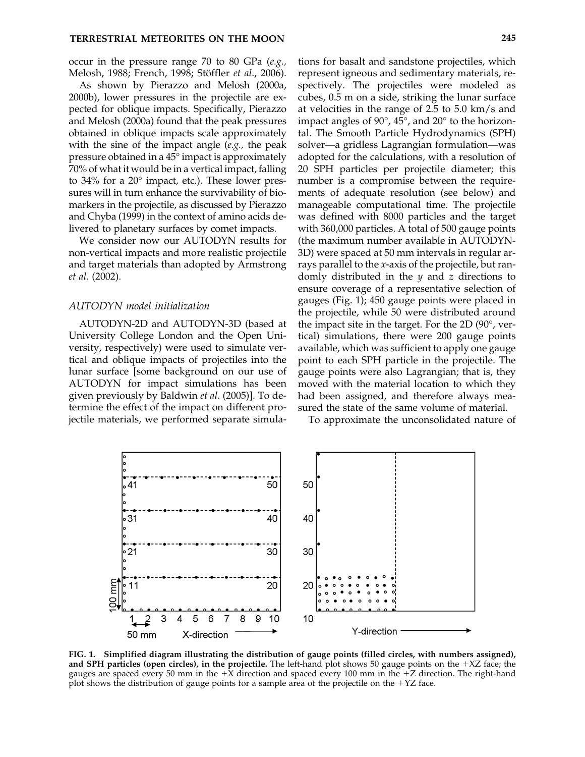occur in the pressure range 70 to 80 GPa (*e.g.,* Melosh, 1988; French, 1998; Stöffler *et al*., 2006).

As shown by Pierazzo and Melosh (2000a, 2000b), lower pressures in the projectile are expected for oblique impacts. Specifically, Pierazzo and Melosh (2000a) found that the peak pressures obtained in oblique impacts scale approximately with the sine of the impact angle (*e.g.,* the peak pressure obtained in a 45° impact is approximately 70% of what it would be in a vertical impact, falling to 34% for a 20° impact, etc.). These lower pressures will in turn enhance the survivability of biomarkers in the projectile, as discussed by Pierazzo and Chyba (1999) in the context of amino acids delivered to planetary surfaces by comet impacts.

We consider now our AUTODYN results for non-vertical impacts and more realistic projectile and target materials than adopted by Armstrong *et al.* (2002).

#### *AUTODYN model initialization*

AUTODYN-2D and AUTODYN-3D (based at University College London and the Open University, respectively) were used to simulate vertical and oblique impacts of projectiles into the lunar surface [some background on our use of AUTODYN for impact simulations has been given previously by Baldwin *et al*. (2005)]. To determine the effect of the impact on different projectile materials, we performed separate simula-

tions for basalt and sandstone projectiles, which represent igneous and sedimentary materials, respectively. The projectiles were modeled as cubes, 0.5 m on a side, striking the lunar surface at velocities in the range of 2.5 to 5.0 km/s and impact angles of 90°, 45°, and 20° to the horizontal. The Smooth Particle Hydrodynamics (SPH) solver—a gridless Lagrangian formulation—was adopted for the calculations, with a resolution of 20 SPH particles per projectile diameter; this number is a compromise between the requirements of adequate resolution (see below) and manageable computational time. The projectile was defined with 8000 particles and the target with 360,000 particles. A total of 500 gauge points (the maximum number available in AUTODYN-3D) were spaced at 50 mm intervals in regular arrays parallel to the *x*-axis of the projectile, but randomly distributed in the *y* and *z* directions to ensure coverage of a representative selection of gauges (Fig. 1); 450 gauge points were placed in the projectile, while 50 were distributed around the impact site in the target. For the 2D (90°, vertical) simulations, there were 200 gauge points available, which was sufficient to apply one gauge point to each SPH particle in the projectile. The gauge points were also Lagrangian; that is, they moved with the material location to which they had been assigned, and therefore always measured the state of the same volume of material.

To approximate the unconsolidated nature of



**FIG. 1. Simplified diagram illustrating the distribution of gauge points (filled circles, with numbers assigned), and SPH particles (open circles), in the projectile.** The left-hand plot shows 50 gauge points on the +XZ face; the gauges are spaced every 50 mm in the  $+X$  direction and spaced every 100 mm in the  $+Z$  direction. The right-hand plot shows the distribution of gauge points for a sample area of the projectile on the  $+YZ$  face.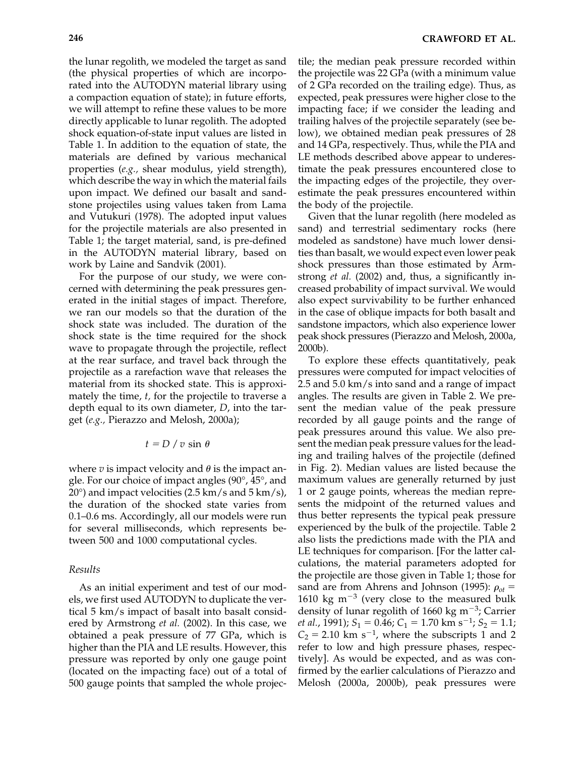the lunar regolith, we modeled the target as sand (the physical properties of which are incorporated into the AUTODYN material library using a compaction equation of state); in future efforts, we will attempt to refine these values to be more directly applicable to lunar regolith. The adopted shock equation-of-state input values are listed in Table 1. In addition to the equation of state, the materials are defined by various mechanical properties (*e.g.,* shear modulus, yield strength), which describe the way in which the material fails upon impact. We defined our basalt and sandstone projectiles using values taken from Lama and Vutukuri (1978). The adopted input values for the projectile materials are also presented in Table 1; the target material, sand, is pre-defined in the AUTODYN material library, based on work by Laine and Sandvik (2001).

For the purpose of our study, we were concerned with determining the peak pressures generated in the initial stages of impact. Therefore, we ran our models so that the duration of the shock state was included. The duration of the shock state is the time required for the shock wave to propagate through the projectile, reflect at the rear surface, and travel back through the projectile as a rarefaction wave that releases the material from its shocked state. This is approximately the time, *t,* for the projectile to traverse a depth equal to its own diameter, *D*, into the target (*e.g.,* Pierazzo and Melosh, 2000a);

$$
t = D / v \sin \theta
$$

where *v* is impact velocity and  $\theta$  is the impact angle. For our choice of impact angles (90°, 45°, and  $20^{\circ}$ ) and impact velocities (2.5 km/s and 5 km/s), the duration of the shocked state varies from 0.1–0.6 ms. Accordingly, all our models were run for several milliseconds, which represents between 500 and 1000 computational cycles.

#### *Results*

As an initial experiment and test of our models, we first used AUTODYN to duplicate the vertical 5 km/s impact of basalt into basalt considered by Armstrong *et al.* (2002). In this case, we obtained a peak pressure of 77 GPa, which is higher than the PIA and LE results. However, this pressure was reported by only one gauge point (located on the impacting face) out of a total of 500 gauge points that sampled the whole projectile; the median peak pressure recorded within the projectile was 22 GPa (with a minimum value of 2 GPa recorded on the trailing edge). Thus, as expected, peak pressures were higher close to the impacting face; if we consider the leading and trailing halves of the projectile separately (see below), we obtained median peak pressures of 28 and 14 GPa, respectively. Thus, while the PIA and LE methods described above appear to underestimate the peak pressures encountered close to the impacting edges of the projectile, they overestimate the peak pressures encountered within the body of the projectile.

Given that the lunar regolith (here modeled as sand) and terrestrial sedimentary rocks (here modeled as sandstone) have much lower densities than basalt, we would expect even lower peak shock pressures than those estimated by Armstrong *et al.* (2002) and, thus, a significantly increased probability of impact survival. We would also expect survivability to be further enhanced in the case of oblique impacts for both basalt and sandstone impactors, which also experience lower peak shock pressures (Pierazzo and Melosh, 2000a, 2000b).

To explore these effects quantitatively, peak pressures were computed for impact velocities of 2.5 and 5.0 km/s into sand and a range of impact angles. The results are given in Table 2. We present the median value of the peak pressure recorded by all gauge points and the range of peak pressures around this value. We also present the median peak pressure values for the leading and trailing halves of the projectile (defined in Fig. 2). Median values are listed because the maximum values are generally returned by just 1 or 2 gauge points, whereas the median represents the midpoint of the returned values and thus better represents the typical peak pressure experienced by the bulk of the projectile. Table 2 also lists the predictions made with the PIA and LE techniques for comparison. [For the latter calculations, the material parameters adopted for the projectile are those given in Table 1; those for sand are from Ahrens and Johnson (1995):  $\rho_{ot}$  = 1610 kg  $m^{-3}$  (very close to the measured bulk density of lunar regolith of 1660 kg m<sup>-3</sup>; Carrier *et al.*, 1991);  $S_1 = 0.46$ ;  $C_1 = 1.70$  km s<sup>-1</sup>;  $S_2 = 1.1$ ;  $C_2 = 2.10$  km s<sup>-1</sup>, where the subscripts 1 and 2 refer to low and high pressure phases, respectively]. As would be expected, and as was confirmed by the earlier calculations of Pierazzo and Melosh (2000a, 2000b), peak pressures were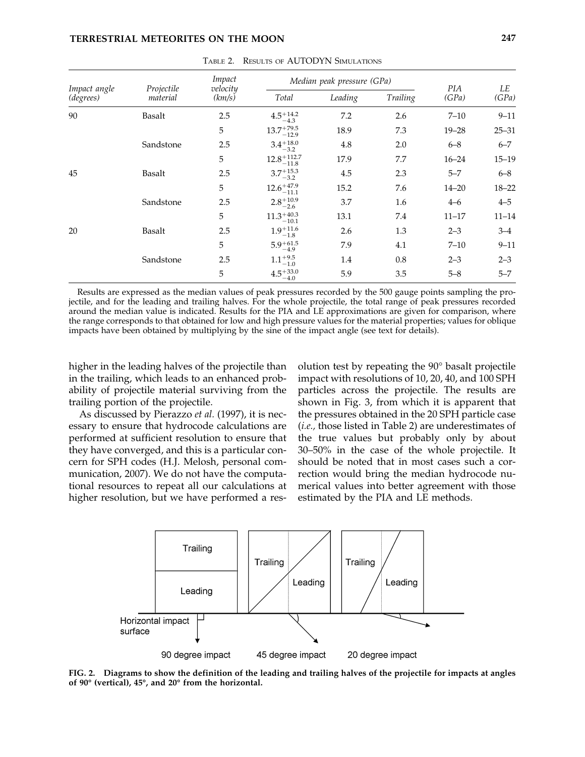#### **TERRESTRIAL METEORITES ON THE MOON 247**

|                           |                        | Impact<br>velocity<br>(km/s) | Median peak pressure (GPa)                                  | <b>PIA</b> | LE       |           |           |
|---------------------------|------------------------|------------------------------|-------------------------------------------------------------|------------|----------|-----------|-----------|
| Impact angle<br>(degrees) | Projectile<br>material |                              | Total                                                       | Leading    | Trailing | (GPa)     | (GPa)     |
| 90                        | Basalt                 | 2.5                          | $4.5^{+14.2}_{-4.3}$                                        | 7.2        | 2.6      | $7 - 10$  | $9 - 11$  |
|                           |                        | 5                            | $13.7^{+79.5}_{-12.9}$                                      | 18.9       | 7.3      | $19 - 28$ | $25 - 31$ |
|                           | Sandstone              | 2.5                          | $3.4_{-3.2}^{+18.0}$                                        | 4.8        | 2.0      | $6 - 8$   | $6 - 7$   |
|                           |                        | 5                            | $12.8_{\rule{0pt}{6pt}-11.8}^{\rule[-3pt]{0pt}{3pt}+112.7}$ | 17.9       | 7.7      | $16 - 24$ | $15 - 19$ |
| 45                        | Basalt                 | 2.5                          | $3.7^{+15.3}_{-3.2}$                                        | 4.5        | 2.3      | $5 - 7$   | $6 - 8$   |
|                           |                        | 5                            | $12.6^{+47.9}_{-11.1}$                                      | 15.2       | 7.6      | $14 - 20$ | $18 - 22$ |
|                           | Sandstone              | 2.5                          | $2.8^{+10.9}_{-2.6}$                                        | 3.7        | 1.6      | $4 - 6$   | $4 - 5$   |
|                           |                        | 5                            | $11.3_{\rule{0pt}{6pt}-10.1}^{\rule[-3pt]{0pt}{3pt}+40.3}$  | 13.1       | 7.4      | $11 - 17$ | $11 - 14$ |
| 20                        | Basalt                 | 2.5                          | $1.9 + 11.6$<br>$-1.8$                                      | 2.6        | 1.3      | $2 - 3$   | $3 - 4$   |
|                           |                        | 5                            | $5.9 + 61.5$<br>$-4.9$                                      | 7.9        | 4.1      | $7 - 10$  | $9 - 11$  |
|                           | Sandstone              | 2.5                          | $1.1^{+9.5}_{-1.0}$                                         | 1.4        | 0.8      | $2 - 3$   | $2 - 3$   |
|                           |                        | 5                            | $4.5^{+33.0}_{-4.0}$                                        | 5.9        | 3.5      | $5 - 8$   | $5 - 7$   |

TABLE 2. RESULTS OF AUTODYN SIMULATIONS

Results are expressed as the median values of peak pressures recorded by the 500 gauge points sampling the projectile, and for the leading and trailing halves. For the whole projectile, the total range of peak pressures recorded around the median value is indicated. Results for the PIA and LE approximations are given for comparison, where the range corresponds to that obtained for low and high pressure values for the material properties; values for oblique impacts have been obtained by multiplying by the sine of the impact angle (see text for details).

higher in the leading halves of the projectile than in the trailing, which leads to an enhanced probability of projectile material surviving from the trailing portion of the projectile.

As discussed by Pierazzo *et al.* (1997), it is necessary to ensure that hydrocode calculations are performed at sufficient resolution to ensure that they have converged, and this is a particular concern for SPH codes (H.J. Melosh, personal communication, 2007). We do not have the computational resources to repeat all our calculations at higher resolution, but we have performed a resolution test by repeating the 90° basalt projectile impact with resolutions of 10, 20, 40, and 100 SPH particles across the projectile. The results are shown in Fig. 3, from which it is apparent that the pressures obtained in the 20 SPH particle case (*i.e.,* those listed in Table 2) are underestimates of the true values but probably only by about 30–50% in the case of the whole projectile. It should be noted that in most cases such a correction would bring the median hydrocode numerical values into better agreement with those estimated by the PIA and LE methods.



**FIG. 2. Diagrams to show the definition of the leading and trailing halves of the projectile for impacts at angles of 90° (vertical), 45°, and 20° from the horizontal.**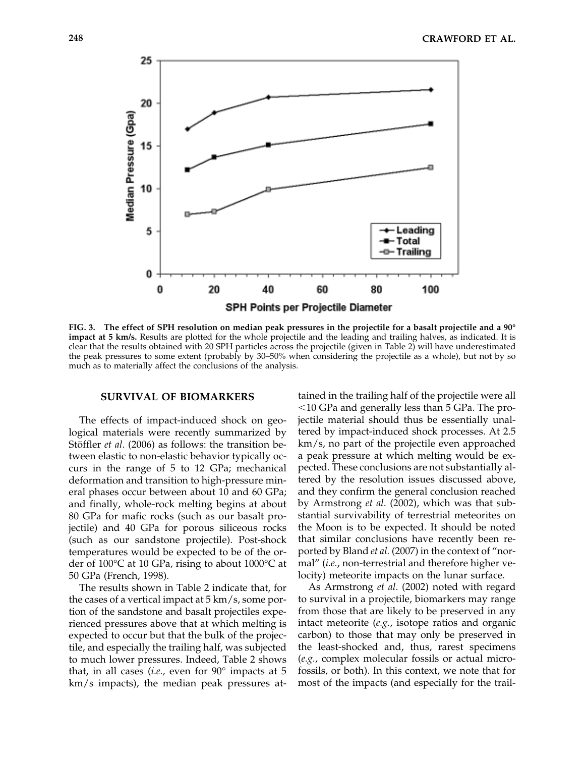

**FIG. 3. The effect of SPH resolution on median peak pressures in the projectile for a basalt projectile and a 90° impact at 5 km/s.** Results are plotted for the whole projectile and the leading and trailing halves, as indicated. It is clear that the results obtained with 20 SPH particles across the projectile (given in Table 2) will have underestimated the peak pressures to some extent (probably by 30–50% when considering the projectile as a whole), but not by so much as to materially affect the conclusions of the analysis.

#### **SURVIVAL OF BIOMARKERS**

The effects of impact-induced shock on geological materials were recently summarized by Stöffler *et al*. (2006) as follows: the transition between elastic to non-elastic behavior typically occurs in the range of 5 to 12 GPa; mechanical deformation and transition to high-pressure mineral phases occur between about 10 and 60 GPa; and finally, whole-rock melting begins at about 80 GPa for mafic rocks (such as our basalt projectile) and 40 GPa for porous siliceous rocks (such as our sandstone projectile). Post-shock temperatures would be expected to be of the order of 100°C at 10 GPa, rising to about 1000°C at 50 GPa (French, 1998).

The results shown in Table 2 indicate that, for the cases of a vertical impact at 5 km/s, some portion of the sandstone and basalt projectiles experienced pressures above that at which melting is expected to occur but that the bulk of the projectile, and especially the trailing half, was subjected to much lower pressures. Indeed, Table 2 shows that, in all cases (*i.e.,* even for 90° impacts at 5 km/s impacts), the median peak pressures at-

tained in the trailing half of the projectile were all  $10$  GPa and generally less than 5 GPa. The projectile material should thus be essentially unaltered by impact-induced shock processes. At 2.5 km/s, no part of the projectile even approached a peak pressure at which melting would be expected. These conclusions are not substantially altered by the resolution issues discussed above, and they confirm the general conclusion reached by Armstrong *et al*. (2002), which was that substantial survivability of terrestrial meteorites on the Moon is to be expected. It should be noted that similar conclusions have recently been reported by Bland *et al.* (2007) in the context of "normal" (*i.e.*, non-terrestrial and therefore higher velocity) meteorite impacts on the lunar surface.

As Armstrong *et al*. (2002) noted with regard to survival in a projectile, biomarkers may range from those that are likely to be preserved in any intact meteorite (*e.g.*, isotope ratios and organic carbon) to those that may only be preserved in the least-shocked and, thus, rarest specimens (*e.g.*, complex molecular fossils or actual microfossils, or both). In this context, we note that for most of the impacts (and especially for the trail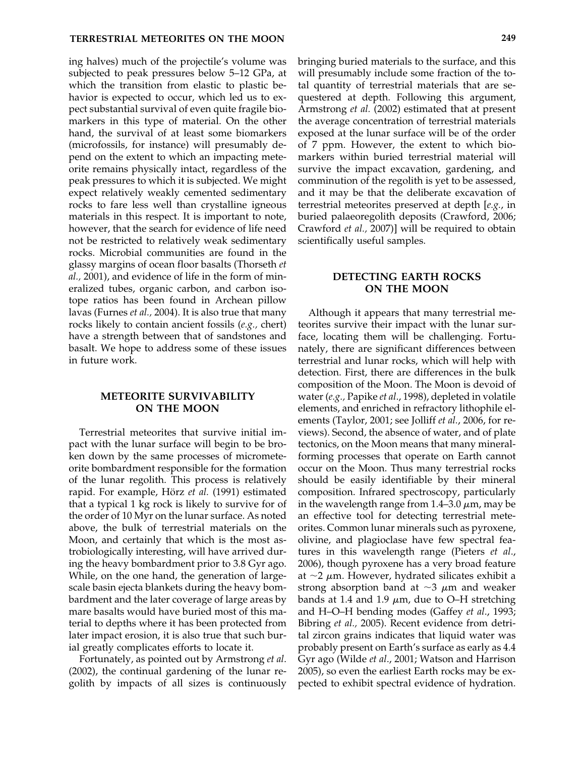ing halves) much of the projectile's volume was subjected to peak pressures below 5–12 GPa, at which the transition from elastic to plastic behavior is expected to occur, which led us to expect substantial survival of even quite fragile biomarkers in this type of material. On the other hand, the survival of at least some biomarkers (microfossils, for instance) will presumably depend on the extent to which an impacting meteorite remains physically intact, regardless of the peak pressures to which it is subjected. We might expect relatively weakly cemented sedimentary rocks to fare less well than crystalline igneous materials in this respect. It is important to note, however, that the search for evidence of life need not be restricted to relatively weak sedimentary rocks. Microbial communities are found in the glassy margins of ocean floor basalts (Thorseth *et al.,* 2001), and evidence of life in the form of mineralized tubes, organic carbon, and carbon isotope ratios has been found in Archean pillow lavas (Furnes *et al.,* 2004). It is also true that many rocks likely to contain ancient fossils (*e.g.,* chert) have a strength between that of sandstones and basalt. We hope to address some of these issues in future work.

#### **METEORITE SURVIVABILITY ON THE MOON**

Terrestrial meteorites that survive initial impact with the lunar surface will begin to be broken down by the same processes of micrometeorite bombardment responsible for the formation of the lunar regolith. This process is relatively rapid. For example, Hörz *et al.* (1991) estimated that a typical 1 kg rock is likely to survive for of the order of 10 Myr on the lunar surface. As noted above, the bulk of terrestrial materials on the Moon, and certainly that which is the most astrobiologically interesting, will have arrived during the heavy bombardment prior to 3.8 Gyr ago. While, on the one hand, the generation of largescale basin ejecta blankets during the heavy bombardment and the later coverage of large areas by mare basalts would have buried most of this material to depths where it has been protected from later impact erosion, it is also true that such burial greatly complicates efforts to locate it.

Fortunately, as pointed out by Armstrong *et al*. (2002), the continual gardening of the lunar regolith by impacts of all sizes is continuously bringing buried materials to the surface, and this will presumably include some fraction of the total quantity of terrestrial materials that are sequestered at depth. Following this argument, Armstrong *et al.* (2002) estimated that at present the average concentration of terrestrial materials exposed at the lunar surface will be of the order of 7 ppm. However, the extent to which biomarkers within buried terrestrial material will survive the impact excavation, gardening, and comminution of the regolith is yet to be assessed, and it may be that the deliberate excavation of terrestrial meteorites preserved at depth [*e.g.*, in buried palaeoregolith deposits (Crawford, 2006; Crawford *et al.,* 2007)] will be required to obtain scientifically useful samples.

#### **DETECTING EARTH ROCKS ON THE MOON**

Although it appears that many terrestrial meteorites survive their impact with the lunar surface, locating them will be challenging. Fortunately, there are significant differences between terrestrial and lunar rocks, which will help with detection. First, there are differences in the bulk composition of the Moon. The Moon is devoid of water (*e.g.,* Papike *et al*., 1998), depleted in volatile elements, and enriched in refractory lithophile elements (Taylor, 2001; see Jolliff *et al.*, 2006, for reviews). Second, the absence of water, and of plate tectonics, on the Moon means that many mineralforming processes that operate on Earth cannot occur on the Moon. Thus many terrestrial rocks should be easily identifiable by their mineral composition. Infrared spectroscopy, particularly in the wavelength range from  $1.4-3.0 \mu$ m, may be an effective tool for detecting terrestrial meteorites. Common lunar minerals such as pyroxene, olivine, and plagioclase have few spectral features in this wavelength range (Pieters *et al*., 2006), though pyroxene has a very broad feature at  $\sim$ 2  $\mu$ m. However, hydrated silicates exhibit a strong absorption band at  $\sim$ 3  $\mu$ m and weaker bands at 1.4 and 1.9  $\mu$ m, due to O–H stretching and H–O–H bending modes (Gaffey *et al*., 1993; Bibring *et al.,* 2005). Recent evidence from detrital zircon grains indicates that liquid water was probably present on Earth's surface as early as 4.4 Gyr ago (Wilde *et al*., 2001; Watson and Harrison 2005), so even the earliest Earth rocks may be expected to exhibit spectral evidence of hydration.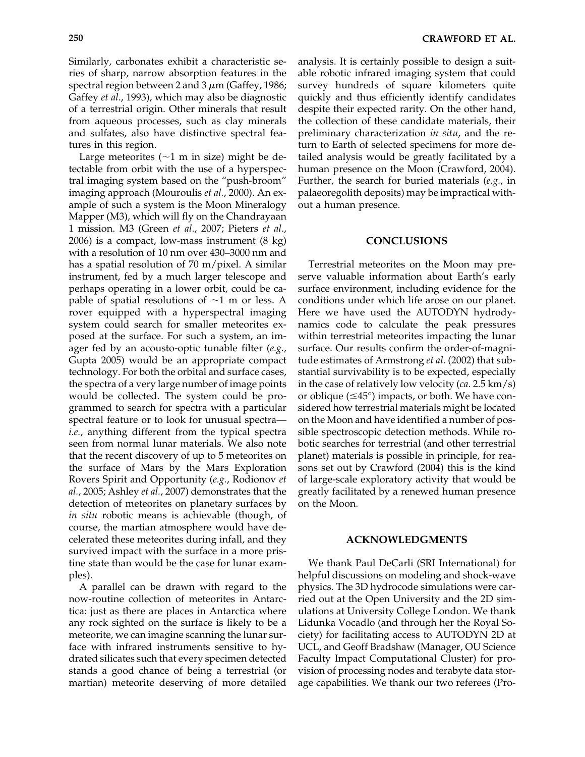Similarly, carbonates exhibit a characteristic series of sharp, narrow absorption features in the spectral region between 2 and 3  $\mu$ m (Gaffey, 1986; Gaffey *et al*., 1993), which may also be diagnostic of a terrestrial origin. Other minerals that result from aqueous processes, such as clay minerals and sulfates, also have distinctive spectral features in this region.

Large meteorites  $(\sim 1$  m in size) might be detectable from orbit with the use of a hyperspectral imaging system based on the "push-broom" imaging approach (Mouroulis *et al.*, 2000). An example of such a system is the Moon Mineralogy Mapper (M3), which will fly on the Chandrayaan 1 mission. M3 (Green *et al*., 2007; Pieters *et al*., 2006) is a compact, low-mass instrument (8 kg) with a resolution of 10 nm over 430–3000 nm and has a spatial resolution of 70 m/pixel. A similar instrument, fed by a much larger telescope and perhaps operating in a lower orbit, could be capable of spatial resolutions of  $\sim$ 1 m or less. A rover equipped with a hyperspectral imaging system could search for smaller meteorites exposed at the surface. For such a system, an imager fed by an acousto-optic tunable filter (*e.g.,* Gupta 2005) would be an appropriate compact technology. For both the orbital and surface cases, the spectra of a very large number of image points would be collected. The system could be programmed to search for spectra with a particular spectral feature or to look for unusual spectra *i.e.*, anything different from the typical spectra seen from normal lunar materials. We also note that the recent discovery of up to 5 meteorites on the surface of Mars by the Mars Exploration Rovers Spirit and Opportunity (*e.g.*, Rodionov *et al.*, 2005; Ashley *et al.*, 2007) demonstrates that the detection of meteorites on planetary surfaces by *in situ* robotic means is achievable (though, of course, the martian atmosphere would have decelerated these meteorites during infall, and they survived impact with the surface in a more pristine state than would be the case for lunar examples).

A parallel can be drawn with regard to the now-routine collection of meteorites in Antarctica: just as there are places in Antarctica where any rock sighted on the surface is likely to be a meteorite, we can imagine scanning the lunar surface with infrared instruments sensitive to hydrated silicates such that every specimen detected stands a good chance of being a terrestrial (or martian) meteorite deserving of more detailed

analysis. It is certainly possible to design a suitable robotic infrared imaging system that could survey hundreds of square kilometers quite quickly and thus efficiently identify candidates despite their expected rarity. On the other hand, the collection of these candidate materials, their preliminary characterization *in situ*, and the return to Earth of selected specimens for more detailed analysis would be greatly facilitated by a human presence on the Moon (Crawford, 2004). Further, the search for buried materials (*e.g.*, in palaeoregolith deposits) may be impractical without a human presence.

#### **CONCLUSIONS**

Terrestrial meteorites on the Moon may preserve valuable information about Earth's early surface environment, including evidence for the conditions under which life arose on our planet. Here we have used the AUTODYN hydrodynamics code to calculate the peak pressures within terrestrial meteorites impacting the lunar surface. Our results confirm the order-of-magnitude estimates of Armstrong *et al*. (2002) that substantial survivability is to be expected, especially in the case of relatively low velocity (*ca.* 2.5 km/s) or oblique  $(\leq 45^{\circ})$  impacts, or both. We have considered how terrestrial materials might be located on the Moon and have identified a number of possible spectroscopic detection methods. While robotic searches for terrestrial (and other terrestrial planet) materials is possible in principle, for reasons set out by Crawford (2004) this is the kind of large-scale exploratory activity that would be greatly facilitated by a renewed human presence on the Moon.

#### **ACKNOWLEDGMENTS**

We thank Paul DeCarli (SRI International) for helpful discussions on modeling and shock-wave physics. The 3D hydrocode simulations were carried out at the Open University and the 2D simulations at University College London. We thank Lidunka Vocadlo (and through her the Royal Society) for facilitating access to AUTODYN 2D at UCL, and Geoff Bradshaw (Manager, OU Science Faculty Impact Computational Cluster) for provision of processing nodes and terabyte data storage capabilities. We thank our two referees (Pro-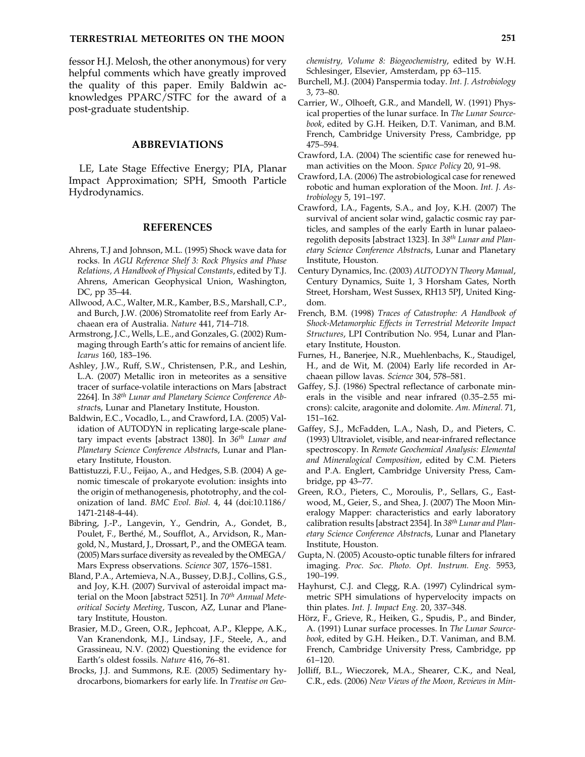#### **TERRESTRIAL METEORITES ON THE MOON 251**

fessor H.J. Melosh, the other anonymous) for very helpful comments which have greatly improved the quality of this paper. Emily Baldwin acknowledges PPARC/STFC for the award of a post-graduate studentship.

#### **ABBREVIATIONS**

LE, Late Stage Effective Energy; PIA, Planar Impact Approximation; SPH, Smooth Particle Hydrodynamics.

#### **REFERENCES**

- Ahrens, T.J and Johnson, M.L. (1995) Shock wave data for rocks. In *AGU Reference Shelf 3: Rock Physics and Phase Relations, A Handbook of Physical Constants*, edited by T.J. Ahrens, American Geophysical Union, Washington, DC, pp 35–44.
- Allwood, A.C., Walter, M.R., Kamber, B.S., Marshall, C.P., and Burch, J.W. (2006) Stromatolite reef from Early Archaean era of Australia. *Nature* 441, 714–718.
- Armstrong, J.C., Wells, L.E., and Gonzales, G. (2002) Rummaging through Earth's attic for remains of ancient life. *Icarus* 160, 183–196.
- Ashley, J.W., Ruff, S.W., Christensen, P.R., and Leshin, L.A. (2007) Metallic iron in meteorites as a sensitive tracer of surface-volatile interactions on Mars [abstract 2264]. In *38th Lunar and Planetary Science Conference Abstract*s, Lunar and Planetary Institute, Houston.
- Baldwin, E.C., Vocadlo, L., and Crawford, I.A. (2005) Validation of AUTODYN in replicating large-scale planetary impact events [abstract 1380]. In *36th Lunar and Planetary Science Conference Abstract*s, Lunar and Planetary Institute, Houston.
- Battistuzzi, F.U., Feijao, A., and Hedges, S.B. (2004) A genomic timescale of prokaryote evolution: insights into the origin of methanogenesis, phototrophy, and the colonization of land. *BMC Evol. Biol.* 4, 44 (doi:10.1186/ 1471-2148-4-44).
- Bibring, J.-P., Langevin, Y., Gendrin, A., Gondet, B., Poulet, F., Berthé, M., Soufflot, A., Arvidson, R., Mangold, N., Mustard, J., Drossart, P., and the OMEGA team. (2005) Mars surface diversity as revealed by the OMEGA/ Mars Express observations. *Science* 307, 1576–1581.
- Bland, P.A., Artemieva, N.A., Bussey, D.B.J., Collins, G.S., and Joy, K.H. (2007) Survival of asteroidal impact material on the Moon [abstract 5251]. In *70th Annual Meteoritical Society Meeting*, Tuscon, AZ, Lunar and Planetary Institute, Houston.
- Brasier, M.D., Green, O.R., Jephcoat, A.P., Kleppe, A.K., Van Kranendonk, M.J., Lindsay, J.F., Steele, A., and Grassineau, N.V. (2002) Questioning the evidence for Earth's oldest fossils. *Nature* 416, 76–81.
- Brocks, J.J. and Summons, R.E. (2005) Sedimentary hydrocarbons, biomarkers for early life. In *Treatise on Geo-*

*chemistry, Volume 8: Biogeochemistry*, edited by W.H. Schlesinger, Elsevier, Amsterdam, pp 63–115.

- Burchell, M.J. (2004) Panspermia today. *Int. J. Astrobiology* 3, 73–80.
- Carrier, W., Olhoeft, G.R., and Mandell, W. (1991) Physical properties of the lunar surface. In *The Lunar Sourcebook*, edited by G.H. Heiken, D.T. Vaniman, and B.M. French, Cambridge University Press, Cambridge, pp 475–594.
- Crawford, I.A. (2004) The scientific case for renewed human activities on the Moon. *Space Policy* 20, 91–98.
- Crawford, I.A. (2006) The astrobiological case for renewed robotic and human exploration of the Moon. *Int. J. Astrobiology* 5, 191–197.
- Crawford, I.A., Fagents, S.A., and Joy, K.H. (2007) The survival of ancient solar wind, galactic cosmic ray particles, and samples of the early Earth in lunar palaeoregolith deposits [abstract 1323]. In *38th Lunar and Planetary Science Conference Abstract*s, Lunar and Planetary Institute, Houston.
- Century Dynamics, Inc. (2003) *AUTODYN Theory Manual*, Century Dynamics, Suite 1, 3 Horsham Gates, North Street, Horsham, West Sussex, RH13 5PJ, United Kingdom.
- French, B.M. (1998) *Traces of Catastrophe: A Handbook of Shock-Metamorphic Effects in Terrestrial Meteorite Impact Structures*, LPI Contribution No. 954, Lunar and Planetary Institute, Houston.
- Furnes, H., Banerjee, N.R., Muehlenbachs, K., Staudigel, H., and de Wit, M. (2004) Early life recorded in Archaean pillow lavas. *Science* 304, 578–581.
- Gaffey, S.J. (1986) Spectral reflectance of carbonate minerals in the visible and near infrared (0.35–2.55 microns): calcite, aragonite and dolomite. *Am. Mineral.* 71, 151–162.
- Gaffey, S.J., McFadden, L.A., Nash, D., and Pieters, C. (1993) Ultraviolet, visible, and near-infrared reflectance spectroscopy. In *Remote Geochemical Analysis: Elemental and Mineralogical Composition*, edited by C.M. Pieters and P.A. Englert, Cambridge University Press, Cambridge, pp 43–77.
- Green, R.O., Pieters, C., Moroulis, P., Sellars, G., Eastwood, M., Geier, S., and Shea, J. (2007) The Moon Mineralogy Mapper: characteristics and early laboratory calibration results [abstract 2354]. In *38th Lunar and Planetary Science Conference Abstract*s, Lunar and Planetary Institute, Houston.
- Gupta, N. (2005) Acousto-optic tunable filters for infrared imaging. *Proc. Soc. Photo. Opt. Instrum. Eng.* 5953, 190–199.
- Hayhurst, C.J. and Clegg, R.A. (1997) Cylindrical symmetric SPH simulations of hypervelocity impacts on thin plates. *Int. J. Impact Eng.* 20, 337–348.
- Hörz, F., Grieve, R., Heiken, G., Spudis, P., and Binder, A. (1991) Lunar surface processes. In *The Lunar Sourcebook*, edited by G.H. Heiken., D.T. Vaniman, and B.M. French, Cambridge University Press, Cambridge, pp 61–120.
- Jolliff, B.L., Wieczorek, M.A., Shearer, C.K., and Neal, C.R., eds. (2006) *New Views of the Moon, Reviews in Min-*